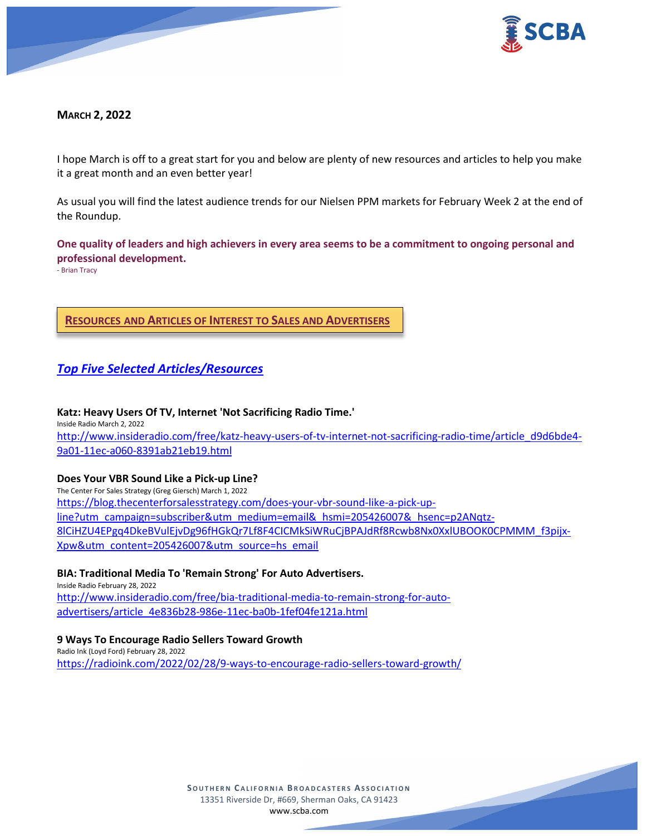

## **MARCH 2, 2022**

I hope March is off to a great start for you and below are plenty of new resources and articles to help you make it a great month and an even better year!

As usual you will find the latest audience trends for our Nielsen PPM markets for February Week 2 at the end of the Roundup.

**One quality of leaders and high achievers in every area seems to be a commitment to ongoing personal and professional development.**

- Brian Tracy

**RESOURCES AND ARTICLES OF INTEREST TO SALES AND ADVERTISERS**

# *Top Five Selected Articles/Resources*

**Katz: Heavy Users Of TV, Internet 'Not Sacrificing Radio Time.'** Inside Radio March 2, 2022 [http://www.insideradio.com/free/katz-heavy-users-of-tv-internet-not-sacrificing-radio-time/article\\_d9d6bde4-](http://www.insideradio.com/free/katz-heavy-users-of-tv-internet-not-sacrificing-radio-time/article_d9d6bde4-9a01-11ec-a060-8391ab21eb19.html) [9a01-11ec-a060-8391ab21eb19.html](http://www.insideradio.com/free/katz-heavy-users-of-tv-internet-not-sacrificing-radio-time/article_d9d6bde4-9a01-11ec-a060-8391ab21eb19.html)

## **Does Your VBR Sound Like a Pick-up Line?**

The Center For Sales Strategy (Greg Giersch) March 1, 2022 [https://blog.thecenterforsalesstrategy.com/does-your-vbr-sound-like-a-pick-up](https://blog.thecenterforsalesstrategy.com/does-your-vbr-sound-like-a-pick-up-line?utm_campaign=subscriber&utm_medium=email&_hsmi=205426007&_hsenc=p2ANqtz-8lCiHZU4EPgq4DkeBVulEjvDg96fHGkQr7Lf8F4CICMkSiWRuCjBPAJdRf8Rcwb8Nx0XxlUBOOK0CPMMM_f3pijx-Xpw&utm_content=205426007&utm_source=hs_email)[line?utm\\_campaign=subscriber&utm\\_medium=email&\\_hsmi=205426007&\\_hsenc=p2ANqtz-](https://blog.thecenterforsalesstrategy.com/does-your-vbr-sound-like-a-pick-up-line?utm_campaign=subscriber&utm_medium=email&_hsmi=205426007&_hsenc=p2ANqtz-8lCiHZU4EPgq4DkeBVulEjvDg96fHGkQr7Lf8F4CICMkSiWRuCjBPAJdRf8Rcwb8Nx0XxlUBOOK0CPMMM_f3pijx-Xpw&utm_content=205426007&utm_source=hs_email)[8lCiHZU4EPgq4DkeBVulEjvDg96fHGkQr7Lf8F4CICMkSiWRuCjBPAJdRf8Rcwb8Nx0XxlUBOOK0CPMMM\\_f3pijx-](https://blog.thecenterforsalesstrategy.com/does-your-vbr-sound-like-a-pick-up-line?utm_campaign=subscriber&utm_medium=email&_hsmi=205426007&_hsenc=p2ANqtz-8lCiHZU4EPgq4DkeBVulEjvDg96fHGkQr7Lf8F4CICMkSiWRuCjBPAJdRf8Rcwb8Nx0XxlUBOOK0CPMMM_f3pijx-Xpw&utm_content=205426007&utm_source=hs_email)[Xpw&utm\\_content=205426007&utm\\_source=hs\\_email](https://blog.thecenterforsalesstrategy.com/does-your-vbr-sound-like-a-pick-up-line?utm_campaign=subscriber&utm_medium=email&_hsmi=205426007&_hsenc=p2ANqtz-8lCiHZU4EPgq4DkeBVulEjvDg96fHGkQr7Lf8F4CICMkSiWRuCjBPAJdRf8Rcwb8Nx0XxlUBOOK0CPMMM_f3pijx-Xpw&utm_content=205426007&utm_source=hs_email)

#### **BIA: Traditional Media To 'Remain Strong' For Auto Advertisers.**

Inside Radio February 28, 2022 [http://www.insideradio.com/free/bia-traditional-media-to-remain-strong-for-auto](http://www.insideradio.com/free/bia-traditional-media-to-remain-strong-for-auto-advertisers/article_4e836b28-986e-11ec-ba0b-1fef04fe121a.html)[advertisers/article\\_4e836b28-986e-11ec-ba0b-1fef04fe121a.html](http://www.insideradio.com/free/bia-traditional-media-to-remain-strong-for-auto-advertisers/article_4e836b28-986e-11ec-ba0b-1fef04fe121a.html)

#### **9 Ways To Encourage Radio Sellers Toward Growth**

Radio Ink (Loyd Ford) February 28, 2022 <https://radioink.com/2022/02/28/9-ways-to-encourage-radio-sellers-toward-growth/>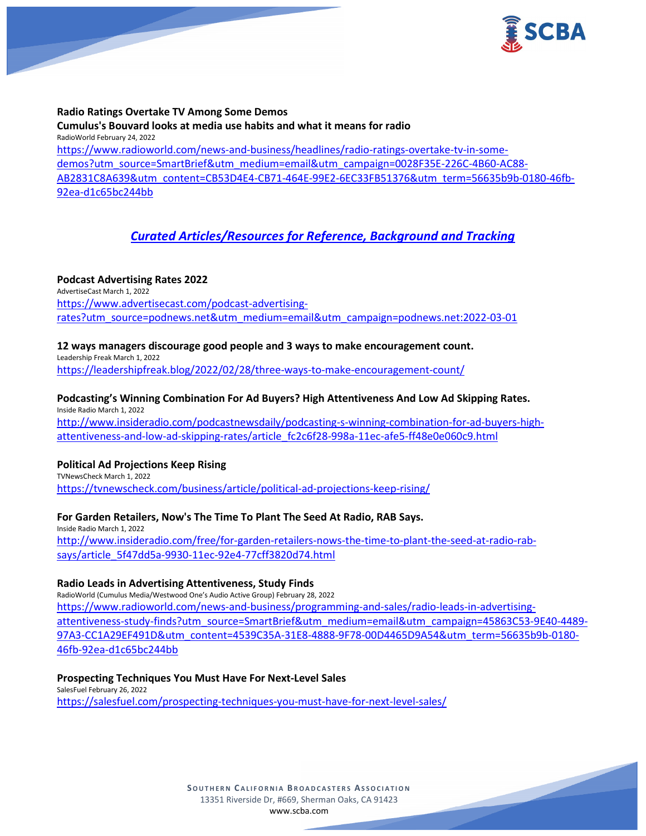

#### **Radio Ratings Overtake TV Among Some Demos**

**Cumulus's Bouvard looks at media use habits and what it means for radio** RadioWorld February 24, 2022 [https://www.radioworld.com/news-and-business/headlines/radio-ratings-overtake-tv-in-some](https://www.radioworld.com/news-and-business/headlines/radio-ratings-overtake-tv-in-some-demos?utm_source=SmartBrief&utm_medium=email&utm_campaign=0028F35E-226C-4B60-AC88-AB2831C8A639&utm_content=CB53D4E4-CB71-464E-99E2-6EC33FB51376&utm_term=56635b9b-0180-46fb-92ea-d1c65bc244bb)[demos?utm\\_source=SmartBrief&utm\\_medium=email&utm\\_campaign=0028F35E-226C-4B60-AC88-](https://www.radioworld.com/news-and-business/headlines/radio-ratings-overtake-tv-in-some-demos?utm_source=SmartBrief&utm_medium=email&utm_campaign=0028F35E-226C-4B60-AC88-AB2831C8A639&utm_content=CB53D4E4-CB71-464E-99E2-6EC33FB51376&utm_term=56635b9b-0180-46fb-92ea-d1c65bc244bb) [AB2831C8A639&utm\\_content=CB53D4E4-CB71-464E-99E2-6EC33FB51376&utm\\_term=56635b9b-0180-46fb-](https://www.radioworld.com/news-and-business/headlines/radio-ratings-overtake-tv-in-some-demos?utm_source=SmartBrief&utm_medium=email&utm_campaign=0028F35E-226C-4B60-AC88-AB2831C8A639&utm_content=CB53D4E4-CB71-464E-99E2-6EC33FB51376&utm_term=56635b9b-0180-46fb-92ea-d1c65bc244bb)[92ea-d1c65bc244bb](https://www.radioworld.com/news-and-business/headlines/radio-ratings-overtake-tv-in-some-demos?utm_source=SmartBrief&utm_medium=email&utm_campaign=0028F35E-226C-4B60-AC88-AB2831C8A639&utm_content=CB53D4E4-CB71-464E-99E2-6EC33FB51376&utm_term=56635b9b-0180-46fb-92ea-d1c65bc244bb)

## *Curated Articles/Resources for Reference, Background and Tracking*

#### **Podcast Advertising Rates 2022** AdvertiseCast March 1, 2022 [https://www.advertisecast.com/podcast-advertising](https://www.advertisecast.com/podcast-advertising-rates?utm_source=podnews.net&utm_medium=email&utm_campaign=podnews.net:2022-03-01)[rates?utm\\_source=podnews.net&utm\\_medium=email&utm\\_campaign=podnews.net:2022-03-01](https://www.advertisecast.com/podcast-advertising-rates?utm_source=podnews.net&utm_medium=email&utm_campaign=podnews.net:2022-03-01)

## **12 ways managers discourage good people and 3 ways to make encouragement count.**

Leadership Freak March 1, 2022 <https://leadershipfreak.blog/2022/02/28/three-ways-to-make-encouragement-count/>

#### **Podcasting's Winning Combination For Ad Buyers? High Attentiveness And Low Ad Skipping Rates.** Inside Radio March 1, 2022

[http://www.insideradio.com/podcastnewsdaily/podcasting-s-winning-combination-for-ad-buyers-high](http://www.insideradio.com/podcastnewsdaily/podcasting-s-winning-combination-for-ad-buyers-high-attentiveness-and-low-ad-skipping-rates/article_fc2c6f28-998a-11ec-afe5-ff48e0e060c9.html)[attentiveness-and-low-ad-skipping-rates/article\\_fc2c6f28-998a-11ec-afe5-ff48e0e060c9.html](http://www.insideradio.com/podcastnewsdaily/podcasting-s-winning-combination-for-ad-buyers-high-attentiveness-and-low-ad-skipping-rates/article_fc2c6f28-998a-11ec-afe5-ff48e0e060c9.html)

#### **Political Ad Projections Keep Rising**

TVNewsCheck March 1, 2022 <https://tvnewscheck.com/business/article/political-ad-projections-keep-rising/>

#### **For Garden Retailers, Now's The Time To Plant The Seed At Radio, RAB Says.**

Inside Radio March 1, 2022 [http://www.insideradio.com/free/for-garden-retailers-nows-the-time-to-plant-the-seed-at-radio-rab](http://www.insideradio.com/free/for-garden-retailers-nows-the-time-to-plant-the-seed-at-radio-rab-says/article_5f47dd5a-9930-11ec-92e4-77cff3820d74.html)[says/article\\_5f47dd5a-9930-11ec-92e4-77cff3820d74.html](http://www.insideradio.com/free/for-garden-retailers-nows-the-time-to-plant-the-seed-at-radio-rab-says/article_5f47dd5a-9930-11ec-92e4-77cff3820d74.html)

#### **Radio Leads in Advertising Attentiveness, Study Finds**

RadioWorld (Cumulus Media/Westwood One's Audio Active Group) February 28, 2022 [https://www.radioworld.com/news-and-business/programming-and-sales/radio-leads-in-advertising](https://www.radioworld.com/news-and-business/programming-and-sales/radio-leads-in-advertising-attentiveness-study-finds?utm_source=SmartBrief&utm_medium=email&utm_campaign=45863C53-9E40-4489-97A3-CC1A29EF491D&utm_content=4539C35A-31E8-4888-9F78-00D4465D9A54&utm_term=56635b9b-0180-46fb-92ea-d1c65bc244bb)[attentiveness-study-finds?utm\\_source=SmartBrief&utm\\_medium=email&utm\\_campaign=45863C53-9E40-4489-](https://www.radioworld.com/news-and-business/programming-and-sales/radio-leads-in-advertising-attentiveness-study-finds?utm_source=SmartBrief&utm_medium=email&utm_campaign=45863C53-9E40-4489-97A3-CC1A29EF491D&utm_content=4539C35A-31E8-4888-9F78-00D4465D9A54&utm_term=56635b9b-0180-46fb-92ea-d1c65bc244bb) [97A3-CC1A29EF491D&utm\\_content=4539C35A-31E8-4888-9F78-00D4465D9A54&utm\\_term=56635b9b-0180-](https://www.radioworld.com/news-and-business/programming-and-sales/radio-leads-in-advertising-attentiveness-study-finds?utm_source=SmartBrief&utm_medium=email&utm_campaign=45863C53-9E40-4489-97A3-CC1A29EF491D&utm_content=4539C35A-31E8-4888-9F78-00D4465D9A54&utm_term=56635b9b-0180-46fb-92ea-d1c65bc244bb) [46fb-92ea-d1c65bc244bb](https://www.radioworld.com/news-and-business/programming-and-sales/radio-leads-in-advertising-attentiveness-study-finds?utm_source=SmartBrief&utm_medium=email&utm_campaign=45863C53-9E40-4489-97A3-CC1A29EF491D&utm_content=4539C35A-31E8-4888-9F78-00D4465D9A54&utm_term=56635b9b-0180-46fb-92ea-d1c65bc244bb)

#### **Prospecting Techniques You Must Have For Next-Level Sales** SalesFuel February 26, 2022 <https://salesfuel.com/prospecting-techniques-you-must-have-for-next-level-sales/>

**SOUTHERN C ALIFORNIA B ROADCASTERS ASSOCIATION** 13351 Riverside Dr, #669, Sherman Oaks, CA 91423 [www.scba.com](http://www.scba.com/)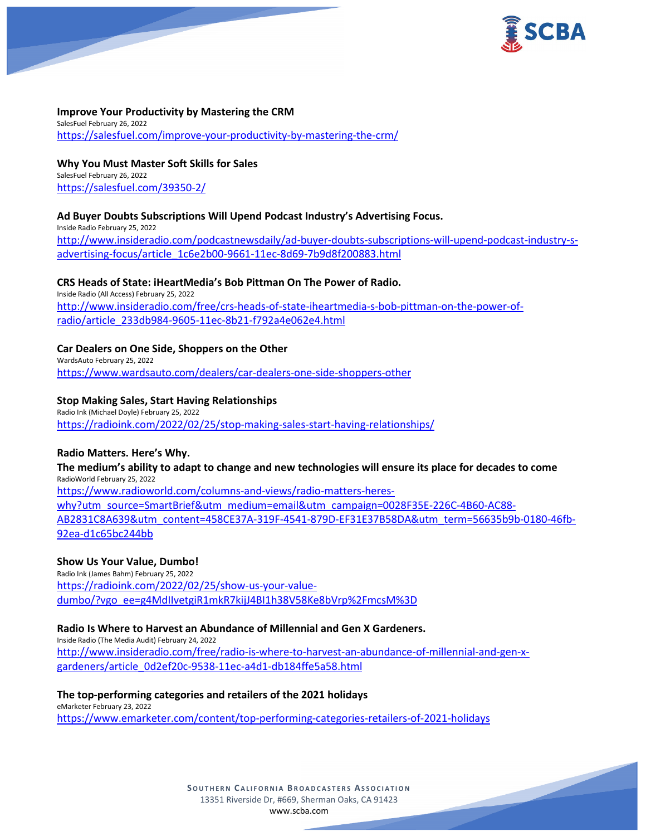

## **Improve Your Productivity by Mastering the CRM**

SalesFuel February 26, 2022 <https://salesfuel.com/improve-your-productivity-by-mastering-the-crm/>

**Why You Must Master Soft Skills for Sales** SalesFuel February 26, 2022 <https://salesfuel.com/39350-2/>

#### **Ad Buyer Doubts Subscriptions Will Upend Podcast Industry's Advertising Focus.**

Inside Radio February 25, 2022 [http://www.insideradio.com/podcastnewsdaily/ad-buyer-doubts-subscriptions-will-upend-podcast-industry-s](http://www.insideradio.com/podcastnewsdaily/ad-buyer-doubts-subscriptions-will-upend-podcast-industry-s-advertising-focus/article_1c6e2b00-9661-11ec-8d69-7b9d8f200883.html)[advertising-focus/article\\_1c6e2b00-9661-11ec-8d69-7b9d8f200883.html](http://www.insideradio.com/podcastnewsdaily/ad-buyer-doubts-subscriptions-will-upend-podcast-industry-s-advertising-focus/article_1c6e2b00-9661-11ec-8d69-7b9d8f200883.html)

#### **CRS Heads of State: iHeartMedia's Bob Pittman On The Power of Radio.**

Inside Radio (All Access) February 25, 2022 [http://www.insideradio.com/free/crs-heads-of-state-iheartmedia-s-bob-pittman-on-the-power-of](http://www.insideradio.com/free/crs-heads-of-state-iheartmedia-s-bob-pittman-on-the-power-of-radio/article_233db984-9605-11ec-8b21-f792a4e062e4.html)[radio/article\\_233db984-9605-11ec-8b21-f792a4e062e4.html](http://www.insideradio.com/free/crs-heads-of-state-iheartmedia-s-bob-pittman-on-the-power-of-radio/article_233db984-9605-11ec-8b21-f792a4e062e4.html)

#### **Car Dealers on One Side, Shoppers on the Other**

WardsAuto February 25, 2022 <https://www.wardsauto.com/dealers/car-dealers-one-side-shoppers-other>

#### **Stop Making Sales, Start Having Relationships**

Radio Ink (Michael Doyle) February 25, 2022 <https://radioink.com/2022/02/25/stop-making-sales-start-having-relationships/>

#### **Radio Matters. Here's Why.**

**The medium's ability to adapt to change and new technologies will ensure its place for decades to come** RadioWorld February 25, 2022 [https://www.radioworld.com/columns-and-views/radio-matters-heres](https://www.radioworld.com/columns-and-views/radio-matters-heres-why?utm_source=SmartBrief&utm_medium=email&utm_campaign=0028F35E-226C-4B60-AC88-AB2831C8A639&utm_content=458CE37A-319F-4541-879D-EF31E37B58DA&utm_term=56635b9b-0180-46fb-92ea-d1c65bc244bb)[why?utm\\_source=SmartBrief&utm\\_medium=email&utm\\_campaign=0028F35E-226C-4B60-AC88-](https://www.radioworld.com/columns-and-views/radio-matters-heres-why?utm_source=SmartBrief&utm_medium=email&utm_campaign=0028F35E-226C-4B60-AC88-AB2831C8A639&utm_content=458CE37A-319F-4541-879D-EF31E37B58DA&utm_term=56635b9b-0180-46fb-92ea-d1c65bc244bb) [AB2831C8A639&utm\\_content=458CE37A-319F-4541-879D-EF31E37B58DA&utm\\_term=56635b9b-0180-46fb-](https://www.radioworld.com/columns-and-views/radio-matters-heres-why?utm_source=SmartBrief&utm_medium=email&utm_campaign=0028F35E-226C-4B60-AC88-AB2831C8A639&utm_content=458CE37A-319F-4541-879D-EF31E37B58DA&utm_term=56635b9b-0180-46fb-92ea-d1c65bc244bb)[92ea-d1c65bc244bb](https://www.radioworld.com/columns-and-views/radio-matters-heres-why?utm_source=SmartBrief&utm_medium=email&utm_campaign=0028F35E-226C-4B60-AC88-AB2831C8A639&utm_content=458CE37A-319F-4541-879D-EF31E37B58DA&utm_term=56635b9b-0180-46fb-92ea-d1c65bc244bb)

#### **Show Us Your Value, Dumbo!**

Radio Ink (James Bahm) February 25, 2022 [https://radioink.com/2022/02/25/show-us-your-value](https://radioink.com/2022/02/25/show-us-your-value-dumbo/?vgo_ee=g4MdIIvetgiR1mkR7kijJ4BI1h38V58Ke8bVrp%2FmcsM%3D)[dumbo/?vgo\\_ee=g4MdIIvetgiR1mkR7kijJ4BI1h38V58Ke8bVrp%2FmcsM%3D](https://radioink.com/2022/02/25/show-us-your-value-dumbo/?vgo_ee=g4MdIIvetgiR1mkR7kijJ4BI1h38V58Ke8bVrp%2FmcsM%3D)

#### **Radio Is Where to Harvest an Abundance of Millennial and Gen X Gardeners.**

Inside Radio (The Media Audit) February 24, 2022 [http://www.insideradio.com/free/radio-is-where-to-harvest-an-abundance-of-millennial-and-gen-x](http://www.insideradio.com/free/radio-is-where-to-harvest-an-abundance-of-millennial-and-gen-x-gardeners/article_0d2ef20c-9538-11ec-a4d1-db184ffe5a58.html)[gardeners/article\\_0d2ef20c-9538-11ec-a4d1-db184ffe5a58.html](http://www.insideradio.com/free/radio-is-where-to-harvest-an-abundance-of-millennial-and-gen-x-gardeners/article_0d2ef20c-9538-11ec-a4d1-db184ffe5a58.html)

#### **The top-performing categories and retailers of the 2021 holidays**

eMarketer February 23, 2022 <https://www.emarketer.com/content/top-performing-categories-retailers-of-2021-holidays>

> **SOUTHERN C ALIFORNIA B ROADCASTERS ASSOCIATION** 13351 Riverside Dr, #669, Sherman Oaks, CA 91423 [www.scba.com](http://www.scba.com/)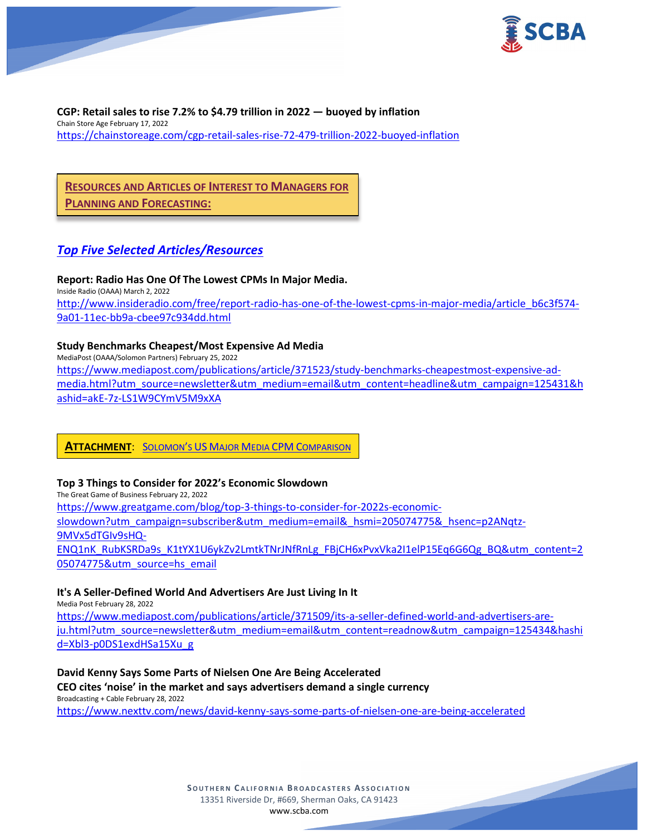

**CGP: Retail sales to rise 7.2% to \$4.79 trillion in 2022 — buoyed by inflation** Chain Store Age February 17, 2022 <https://chainstoreage.com/cgp-retail-sales-rise-72-479-trillion-2022-buoyed-inflation>

# **RESOURCES AND ARTICLES OF INTEREST TO MANAGERS FOR**

**PLANNING AND FORECASTING:**

# *Top Five Selected Articles/Resources*

**Report: Radio Has One Of The Lowest CPMs In Major Media.** Inside Radio (OAAA) March 2, 2022 [http://www.insideradio.com/free/report-radio-has-one-of-the-lowest-cpms-in-major-media/article\\_b6c3f574-](http://www.insideradio.com/free/report-radio-has-one-of-the-lowest-cpms-in-major-media/article_b6c3f574-9a01-11ec-bb9a-cbee97c934dd.html) [9a01-11ec-bb9a-cbee97c934dd.html](http://www.insideradio.com/free/report-radio-has-one-of-the-lowest-cpms-in-major-media/article_b6c3f574-9a01-11ec-bb9a-cbee97c934dd.html)

## **Study Benchmarks Cheapest/Most Expensive Ad Media**

MediaPost (OAAA/Solomon Partners) February 25, 2022 [https://www.mediapost.com/publications/article/371523/study-benchmarks-cheapestmost-expensive-ad](https://www.mediapost.com/publications/article/371523/study-benchmarks-cheapestmost-expensive-ad-media.html?utm_source=newsletter&utm_medium=email&utm_content=headline&utm_campaign=125431&hashid=akE-7z-LS1W9CYmV5M9xXA)[media.html?utm\\_source=newsletter&utm\\_medium=email&utm\\_content=headline&utm\\_campaign=125431&h](https://www.mediapost.com/publications/article/371523/study-benchmarks-cheapestmost-expensive-ad-media.html?utm_source=newsletter&utm_medium=email&utm_content=headline&utm_campaign=125431&hashid=akE-7z-LS1W9CYmV5M9xXA) [ashid=akE-7z-LS1W9CYmV5M9xXA](https://www.mediapost.com/publications/article/371523/study-benchmarks-cheapestmost-expensive-ad-media.html?utm_source=newsletter&utm_medium=email&utm_content=headline&utm_campaign=125431&hashid=akE-7z-LS1W9CYmV5M9xXA)

## **ATTACHMENT**: SOLOMON'S US [MAJOR MEDIA CPM](https://scba.com/wp-content/uploads/2022/03/2022_01-Solomons-US-Major-Media-CPM-ComparisonvOAAA.pdf) COMPARISON

#### **Top 3 Things to Consider for 2022's Economic Slowdown**

The Great Game of Business February 22, 2022 [https://www.greatgame.com/blog/top-3-things-to-consider-for-2022s-economic](https://www.greatgame.com/blog/top-3-things-to-consider-for-2022s-economic-slowdown?utm_campaign=subscriber&utm_medium=email&_hsmi=205074775&_hsenc=p2ANqtz-9MVx5dTGIv9sHQ-ENQ1nK_RubKSRDa9s_K1tYX1U6ykZv2LmtkTNrJNfRnLg_FBjCH6xPvxVka2I1elP15Eq6G6Qg_BQ&utm_content=205074775&utm_source=hs_email)[slowdown?utm\\_campaign=subscriber&utm\\_medium=email&\\_hsmi=205074775&\\_hsenc=p2ANqtz-](https://www.greatgame.com/blog/top-3-things-to-consider-for-2022s-economic-slowdown?utm_campaign=subscriber&utm_medium=email&_hsmi=205074775&_hsenc=p2ANqtz-9MVx5dTGIv9sHQ-ENQ1nK_RubKSRDa9s_K1tYX1U6ykZv2LmtkTNrJNfRnLg_FBjCH6xPvxVka2I1elP15Eq6G6Qg_BQ&utm_content=205074775&utm_source=hs_email)[9MVx5dTGIv9sHQ-](https://www.greatgame.com/blog/top-3-things-to-consider-for-2022s-economic-slowdown?utm_campaign=subscriber&utm_medium=email&_hsmi=205074775&_hsenc=p2ANqtz-9MVx5dTGIv9sHQ-ENQ1nK_RubKSRDa9s_K1tYX1U6ykZv2LmtkTNrJNfRnLg_FBjCH6xPvxVka2I1elP15Eq6G6Qg_BQ&utm_content=205074775&utm_source=hs_email)[ENQ1nK\\_RubKSRDa9s\\_K1tYX1U6ykZv2LmtkTNrJNfRnLg\\_FBjCH6xPvxVka2I1elP15Eq6G6Qg\\_BQ&utm\\_content=2](https://www.greatgame.com/blog/top-3-things-to-consider-for-2022s-economic-slowdown?utm_campaign=subscriber&utm_medium=email&_hsmi=205074775&_hsenc=p2ANqtz-9MVx5dTGIv9sHQ-ENQ1nK_RubKSRDa9s_K1tYX1U6ykZv2LmtkTNrJNfRnLg_FBjCH6xPvxVka2I1elP15Eq6G6Qg_BQ&utm_content=205074775&utm_source=hs_email) [05074775&utm\\_source=hs\\_email](https://www.greatgame.com/blog/top-3-things-to-consider-for-2022s-economic-slowdown?utm_campaign=subscriber&utm_medium=email&_hsmi=205074775&_hsenc=p2ANqtz-9MVx5dTGIv9sHQ-ENQ1nK_RubKSRDa9s_K1tYX1U6ykZv2LmtkTNrJNfRnLg_FBjCH6xPvxVka2I1elP15Eq6G6Qg_BQ&utm_content=205074775&utm_source=hs_email)

## **It's A Seller-Defined World And Advertisers Are Just Living In It**

Media Post February 28, 2022

[https://www.mediapost.com/publications/article/371509/its-a-seller-defined-world-and-advertisers-are](https://www.mediapost.com/publications/article/371509/its-a-seller-defined-world-and-advertisers-are-ju.html?utm_source=newsletter&utm_medium=email&utm_content=readnow&utm_campaign=125434&hashid=Xbl3-p0DS1exdHSa15Xu_g)[ju.html?utm\\_source=newsletter&utm\\_medium=email&utm\\_content=readnow&utm\\_campaign=125434&hashi](https://www.mediapost.com/publications/article/371509/its-a-seller-defined-world-and-advertisers-are-ju.html?utm_source=newsletter&utm_medium=email&utm_content=readnow&utm_campaign=125434&hashid=Xbl3-p0DS1exdHSa15Xu_g) [d=Xbl3-p0DS1exdHSa15Xu\\_g](https://www.mediapost.com/publications/article/371509/its-a-seller-defined-world-and-advertisers-are-ju.html?utm_source=newsletter&utm_medium=email&utm_content=readnow&utm_campaign=125434&hashid=Xbl3-p0DS1exdHSa15Xu_g)

## **David Kenny Says Some Parts of Nielsen One Are Being Accelerated CEO cites 'noise' in the market and says advertisers demand a single currency** Broadcasting + Cable February 28, 2022

<https://www.nexttv.com/news/david-kenny-says-some-parts-of-nielsen-one-are-being-accelerated>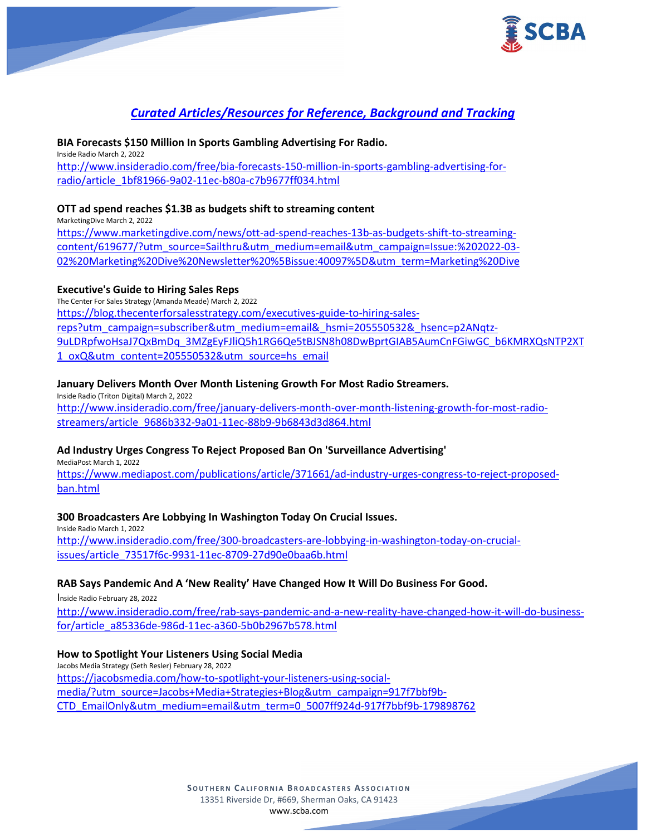

# *Curated Articles/Resources for Reference, Background and Tracking*

## **BIA Forecasts \$150 Million In Sports Gambling Advertising For Radio.**

Inside Radio March 2, 2022 [http://www.insideradio.com/free/bia-forecasts-150-million-in-sports-gambling-advertising-for](http://www.insideradio.com/free/bia-forecasts-150-million-in-sports-gambling-advertising-for-radio/article_1bf81966-9a02-11ec-b80a-c7b9677ff034.html)[radio/article\\_1bf81966-9a02-11ec-b80a-c7b9677ff034.html](http://www.insideradio.com/free/bia-forecasts-150-million-in-sports-gambling-advertising-for-radio/article_1bf81966-9a02-11ec-b80a-c7b9677ff034.html)

## **OTT ad spend reaches \$1.3B as budgets shift to streaming content**

MarketingDive March 2, 2022

[https://www.marketingdive.com/news/ott-ad-spend-reaches-13b-as-budgets-shift-to-streaming](https://www.marketingdive.com/news/ott-ad-spend-reaches-13b-as-budgets-shift-to-streaming-content/619677/?utm_source=Sailthru&utm_medium=email&utm_campaign=Issue:%202022-03-02%20Marketing%20Dive%20Newsletter%20%5Bissue:40097%5D&utm_term=Marketing%20Dive)[content/619677/?utm\\_source=Sailthru&utm\\_medium=email&utm\\_campaign=Issue:%202022-03-](https://www.marketingdive.com/news/ott-ad-spend-reaches-13b-as-budgets-shift-to-streaming-content/619677/?utm_source=Sailthru&utm_medium=email&utm_campaign=Issue:%202022-03-02%20Marketing%20Dive%20Newsletter%20%5Bissue:40097%5D&utm_term=Marketing%20Dive) [02%20Marketing%20Dive%20Newsletter%20%5Bissue:40097%5D&utm\\_term=Marketing%20Dive](https://www.marketingdive.com/news/ott-ad-spend-reaches-13b-as-budgets-shift-to-streaming-content/619677/?utm_source=Sailthru&utm_medium=email&utm_campaign=Issue:%202022-03-02%20Marketing%20Dive%20Newsletter%20%5Bissue:40097%5D&utm_term=Marketing%20Dive)

## **Executive's Guide to Hiring Sales Reps**

The Center For Sales Strategy (Amanda Meade) March 2, 2022 [https://blog.thecenterforsalesstrategy.com/executives-guide-to-hiring-sales](https://blog.thecenterforsalesstrategy.com/executives-guide-to-hiring-sales-reps?utm_campaign=subscriber&utm_medium=email&_hsmi=205550532&_hsenc=p2ANqtz-9uLDRpfwoHsaJ7QxBmDq_3MZgEyFJliQ5h1RG6Qe5tBJSN8h08DwBprtGIAB5AumCnFGiwGC_b6KMRXQsNTP2XT1_oxQ&utm_content=205550532&utm_source=hs_email)[reps?utm\\_campaign=subscriber&utm\\_medium=email&\\_hsmi=205550532&\\_hsenc=p2ANqtz-](https://blog.thecenterforsalesstrategy.com/executives-guide-to-hiring-sales-reps?utm_campaign=subscriber&utm_medium=email&_hsmi=205550532&_hsenc=p2ANqtz-9uLDRpfwoHsaJ7QxBmDq_3MZgEyFJliQ5h1RG6Qe5tBJSN8h08DwBprtGIAB5AumCnFGiwGC_b6KMRXQsNTP2XT1_oxQ&utm_content=205550532&utm_source=hs_email)[9uLDRpfwoHsaJ7QxBmDq\\_3MZgEyFJliQ5h1RG6Qe5tBJSN8h08DwBprtGIAB5AumCnFGiwGC\\_b6KMRXQsNTP2XT](https://blog.thecenterforsalesstrategy.com/executives-guide-to-hiring-sales-reps?utm_campaign=subscriber&utm_medium=email&_hsmi=205550532&_hsenc=p2ANqtz-9uLDRpfwoHsaJ7QxBmDq_3MZgEyFJliQ5h1RG6Qe5tBJSN8h08DwBprtGIAB5AumCnFGiwGC_b6KMRXQsNTP2XT1_oxQ&utm_content=205550532&utm_source=hs_email) [1\\_oxQ&utm\\_content=205550532&utm\\_source=hs\\_email](https://blog.thecenterforsalesstrategy.com/executives-guide-to-hiring-sales-reps?utm_campaign=subscriber&utm_medium=email&_hsmi=205550532&_hsenc=p2ANqtz-9uLDRpfwoHsaJ7QxBmDq_3MZgEyFJliQ5h1RG6Qe5tBJSN8h08DwBprtGIAB5AumCnFGiwGC_b6KMRXQsNTP2XT1_oxQ&utm_content=205550532&utm_source=hs_email)

## **January Delivers Month Over Month Listening Growth For Most Radio Streamers.**

Inside Radio (Triton Digital) March 2, 2022 [http://www.insideradio.com/free/january-delivers-month-over-month-listening-growth-for-most-radio](http://www.insideradio.com/free/january-delivers-month-over-month-listening-growth-for-most-radio-streamers/article_9686b332-9a01-11ec-88b9-9b6843d3d864.html)[streamers/article\\_9686b332-9a01-11ec-88b9-9b6843d3d864.html](http://www.insideradio.com/free/january-delivers-month-over-month-listening-growth-for-most-radio-streamers/article_9686b332-9a01-11ec-88b9-9b6843d3d864.html)

## **Ad Industry Urges Congress To Reject Proposed Ban On 'Surveillance Advertising'**

MediaPost March 1, 2022

[https://www.mediapost.com/publications/article/371661/ad-industry-urges-congress-to-reject-proposed](https://www.mediapost.com/publications/article/371661/ad-industry-urges-congress-to-reject-proposed-ban.html)[ban.html](https://www.mediapost.com/publications/article/371661/ad-industry-urges-congress-to-reject-proposed-ban.html)

## **300 Broadcasters Are Lobbying In Washington Today On Crucial Issues.**

Inside Radio March 1, 2022 [http://www.insideradio.com/free/300-broadcasters-are-lobbying-in-washington-today-on-crucial](http://www.insideradio.com/free/300-broadcasters-are-lobbying-in-washington-today-on-crucial-issues/article_73517f6c-9931-11ec-8709-27d90e0baa6b.html)[issues/article\\_73517f6c-9931-11ec-8709-27d90e0baa6b.html](http://www.insideradio.com/free/300-broadcasters-are-lobbying-in-washington-today-on-crucial-issues/article_73517f6c-9931-11ec-8709-27d90e0baa6b.html)

## **RAB Says Pandemic And A 'New Reality' Have Changed How It Will Do Business For Good.**

Inside Radio February 28, 2022

[http://www.insideradio.com/free/rab-says-pandemic-and-a-new-reality-have-changed-how-it-will-do-business](http://www.insideradio.com/free/rab-says-pandemic-and-a-new-reality-have-changed-how-it-will-do-business-for/article_a85336de-986d-11ec-a360-5b0b2967b578.html)[for/article\\_a85336de-986d-11ec-a360-5b0b2967b578.html](http://www.insideradio.com/free/rab-says-pandemic-and-a-new-reality-have-changed-how-it-will-do-business-for/article_a85336de-986d-11ec-a360-5b0b2967b578.html)

#### **How to Spotlight Your Listeners Using Social Media**

Jacobs Media Strategy (Seth Resler) February 28, 2022 [https://jacobsmedia.com/how-to-spotlight-your-listeners-using-social](https://jacobsmedia.com/how-to-spotlight-your-listeners-using-social-media/?utm_source=Jacobs+Media+Strategies+Blog&utm_campaign=917f7bbf9b-CTD_EmailOnly&utm_medium=email&utm_term=0_5007ff924d-917f7bbf9b-179898762)[media/?utm\\_source=Jacobs+Media+Strategies+Blog&utm\\_campaign=917f7bbf9b-](https://jacobsmedia.com/how-to-spotlight-your-listeners-using-social-media/?utm_source=Jacobs+Media+Strategies+Blog&utm_campaign=917f7bbf9b-CTD_EmailOnly&utm_medium=email&utm_term=0_5007ff924d-917f7bbf9b-179898762)[CTD\\_EmailOnly&utm\\_medium=email&utm\\_term=0\\_5007ff924d-917f7bbf9b-179898762](https://jacobsmedia.com/how-to-spotlight-your-listeners-using-social-media/?utm_source=Jacobs+Media+Strategies+Blog&utm_campaign=917f7bbf9b-CTD_EmailOnly&utm_medium=email&utm_term=0_5007ff924d-917f7bbf9b-179898762)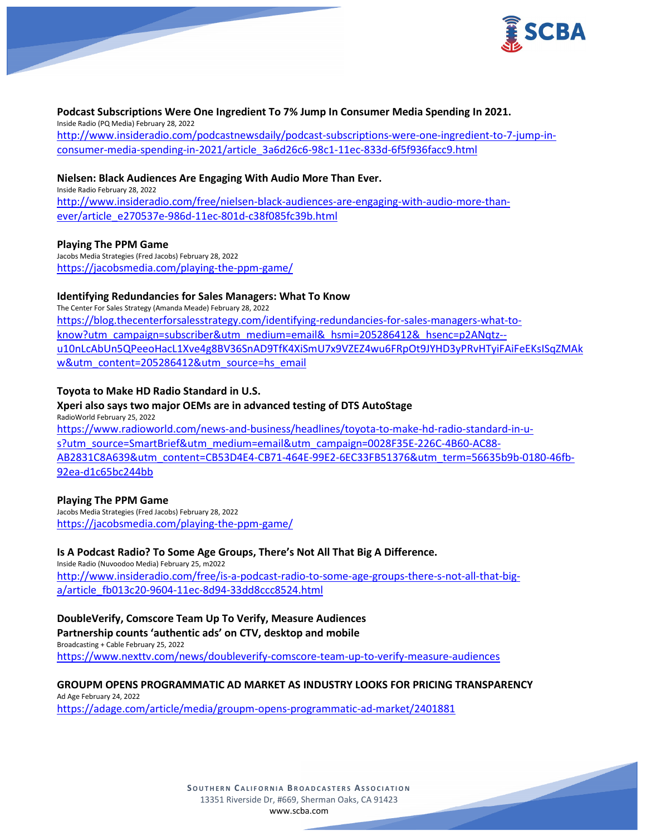

#### **Podcast Subscriptions Were One Ingredient To 7% Jump In Consumer Media Spending In 2021.**

Inside Radio (PQ Media) February 28, 2022 [http://www.insideradio.com/podcastnewsdaily/podcast-subscriptions-were-one-ingredient-to-7-jump-in](http://www.insideradio.com/podcastnewsdaily/podcast-subscriptions-were-one-ingredient-to-7-jump-in-consumer-media-spending-in-2021/article_3a6d26c6-98c1-11ec-833d-6f5f936facc9.html)[consumer-media-spending-in-2021/article\\_3a6d26c6-98c1-11ec-833d-6f5f936facc9.html](http://www.insideradio.com/podcastnewsdaily/podcast-subscriptions-were-one-ingredient-to-7-jump-in-consumer-media-spending-in-2021/article_3a6d26c6-98c1-11ec-833d-6f5f936facc9.html)

## **Nielsen: Black Audiences Are Engaging With Audio More Than Ever.**

Inside Radio February 28, 2022 [http://www.insideradio.com/free/nielsen-black-audiences-are-engaging-with-audio-more-than](http://www.insideradio.com/free/nielsen-black-audiences-are-engaging-with-audio-more-than-ever/article_e270537e-986d-11ec-801d-c38f085fc39b.html)[ever/article\\_e270537e-986d-11ec-801d-c38f085fc39b.html](http://www.insideradio.com/free/nielsen-black-audiences-are-engaging-with-audio-more-than-ever/article_e270537e-986d-11ec-801d-c38f085fc39b.html)

## **Playing The PPM Game**

Jacobs Media Strategies (Fred Jacobs) February 28, 2022 <https://jacobsmedia.com/playing-the-ppm-game/>

## **Identifying Redundancies for Sales Managers: What To Know**

The Center For Sales Strategy (Amanda Meade) February 28, 2022 [https://blog.thecenterforsalesstrategy.com/identifying-redundancies-for-sales-managers-what-to](https://blog.thecenterforsalesstrategy.com/identifying-redundancies-for-sales-managers-what-to-know?utm_campaign=subscriber&utm_medium=email&_hsmi=205286412&_hsenc=p2ANqtz--u10nLcAbUn5QPeeoHacL1Xve4g8BV36SnAD9TfK4XiSmU7x9VZEZ4wu6FRpOt9JYHD3yPRvHTyiFAiFeEKsISqZMAkw&utm_content=205286412&utm_source=hs_email)know?utm\_campaign=subscriber&utm\_medium=email&\_hsmi=205286412&\_hsenc=p2ANgtz-[u10nLcAbUn5QPeeoHacL1Xve4g8BV36SnAD9TfK4XiSmU7x9VZEZ4wu6FRpOt9JYHD3yPRvHTyiFAiFeEKsISqZMAk](https://blog.thecenterforsalesstrategy.com/identifying-redundancies-for-sales-managers-what-to-know?utm_campaign=subscriber&utm_medium=email&_hsmi=205286412&_hsenc=p2ANqtz--u10nLcAbUn5QPeeoHacL1Xve4g8BV36SnAD9TfK4XiSmU7x9VZEZ4wu6FRpOt9JYHD3yPRvHTyiFAiFeEKsISqZMAkw&utm_content=205286412&utm_source=hs_email) [w&utm\\_content=205286412&utm\\_source=hs\\_email](https://blog.thecenterforsalesstrategy.com/identifying-redundancies-for-sales-managers-what-to-know?utm_campaign=subscriber&utm_medium=email&_hsmi=205286412&_hsenc=p2ANqtz--u10nLcAbUn5QPeeoHacL1Xve4g8BV36SnAD9TfK4XiSmU7x9VZEZ4wu6FRpOt9JYHD3yPRvHTyiFAiFeEKsISqZMAkw&utm_content=205286412&utm_source=hs_email)

## **Toyota to Make HD Radio Standard in U.S.**

## **Xperi also says two major OEMs are in advanced testing of DTS AutoStage**

RadioWorld February 25, 2022 [https://www.radioworld.com/news-and-business/headlines/toyota-to-make-hd-radio-standard-in-u](https://www.radioworld.com/news-and-business/headlines/toyota-to-make-hd-radio-standard-in-u-s?utm_source=SmartBrief&utm_medium=email&utm_campaign=0028F35E-226C-4B60-AC88-AB2831C8A639&utm_content=CB53D4E4-CB71-464E-99E2-6EC33FB51376&utm_term=56635b9b-0180-46fb-92ea-d1c65bc244bb)[s?utm\\_source=SmartBrief&utm\\_medium=email&utm\\_campaign=0028F35E-226C-4B60-AC88-](https://www.radioworld.com/news-and-business/headlines/toyota-to-make-hd-radio-standard-in-u-s?utm_source=SmartBrief&utm_medium=email&utm_campaign=0028F35E-226C-4B60-AC88-AB2831C8A639&utm_content=CB53D4E4-CB71-464E-99E2-6EC33FB51376&utm_term=56635b9b-0180-46fb-92ea-d1c65bc244bb) [AB2831C8A639&utm\\_content=CB53D4E4-CB71-464E-99E2-6EC33FB51376&utm\\_term=56635b9b-0180-46fb-](https://www.radioworld.com/news-and-business/headlines/toyota-to-make-hd-radio-standard-in-u-s?utm_source=SmartBrief&utm_medium=email&utm_campaign=0028F35E-226C-4B60-AC88-AB2831C8A639&utm_content=CB53D4E4-CB71-464E-99E2-6EC33FB51376&utm_term=56635b9b-0180-46fb-92ea-d1c65bc244bb)[92ea-d1c65bc244bb](https://www.radioworld.com/news-and-business/headlines/toyota-to-make-hd-radio-standard-in-u-s?utm_source=SmartBrief&utm_medium=email&utm_campaign=0028F35E-226C-4B60-AC88-AB2831C8A639&utm_content=CB53D4E4-CB71-464E-99E2-6EC33FB51376&utm_term=56635b9b-0180-46fb-92ea-d1c65bc244bb)

#### **Playing The PPM Game**

Jacobs Media Strategies (Fred Jacobs) February 28, 2022 <https://jacobsmedia.com/playing-the-ppm-game/>

**Is A Podcast Radio? To Some Age Groups, There's Not All That Big A Difference.** Inside Radio (Nuvoodoo Media) February 25, m2022

[http://www.insideradio.com/free/is-a-podcast-radio-to-some-age-groups-there-s-not-all-that-big](http://www.insideradio.com/free/is-a-podcast-radio-to-some-age-groups-there-s-not-all-that-big-a/article_fb013c20-9604-11ec-8d94-33dd8ccc8524.html)[a/article\\_fb013c20-9604-11ec-8d94-33dd8ccc8524.html](http://www.insideradio.com/free/is-a-podcast-radio-to-some-age-groups-there-s-not-all-that-big-a/article_fb013c20-9604-11ec-8d94-33dd8ccc8524.html)

## **DoubleVerify, Comscore Team Up To Verify, Measure Audiences Partnership counts 'authentic ads' on CTV, desktop and mobile**

Broadcasting + Cable February 25, 2022 <https://www.nexttv.com/news/doubleverify-comscore-team-up-to-verify-measure-audiences>

#### **GROUPM OPENS PROGRAMMATIC AD MARKET AS INDUSTRY LOOKS FOR PRICING TRANSPARENCY** Ad Age February 24, 2022

<https://adage.com/article/media/groupm-opens-programmatic-ad-market/2401881>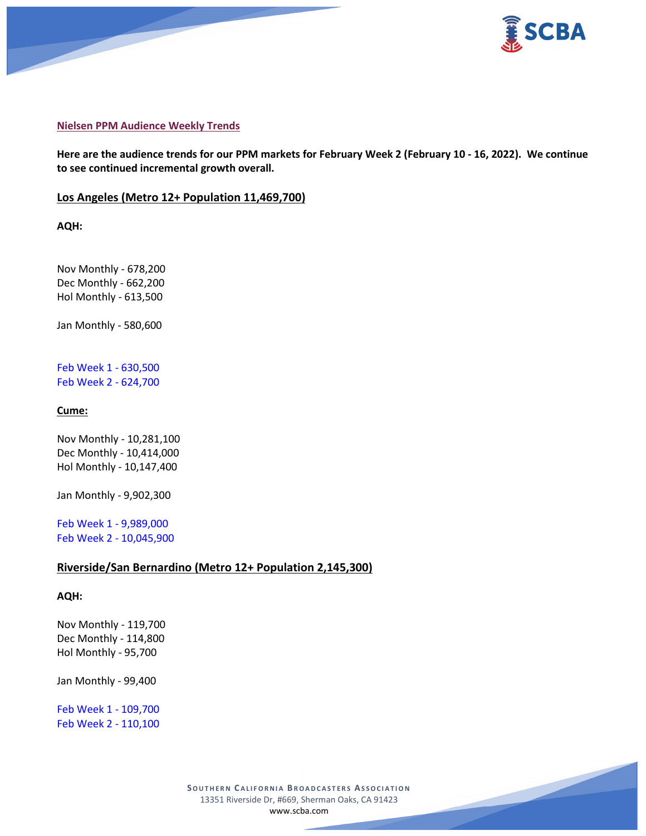



#### **Nielsen PPM Audience Weekly Trends**

**Here are the audience trends for our PPM markets for February Week 2 (February 10 - 16, 2022). We continue to see continued incremental growth overall.**

## **Los Angeles (Metro 12+ Population 11,469,700)**

**AQH:**

Nov Monthly - 678,200 Dec Monthly - 662,200 Hol Monthly - 613,500

Jan Monthly - 580,600

Feb Week 1 - 630,500 Feb Week 2 - 624,700

## **Cume:**

Nov Monthly - 10,281,100 Dec Monthly - 10,414,000 Hol Monthly - 10,147,400

Jan Monthly - 9,902,300

Feb Week 1 - 9,989,000 Feb Week 2 - 10,045,900

## **Riverside/San Bernardino (Metro 12+ Population 2,145,300)**

#### **AQH:**

Nov Monthly - 119,700 Dec Monthly - 114,800 Hol Monthly - 95,700

Jan Monthly - 99,400

Feb Week 1 - 109,700 Feb Week 2 - 110,100